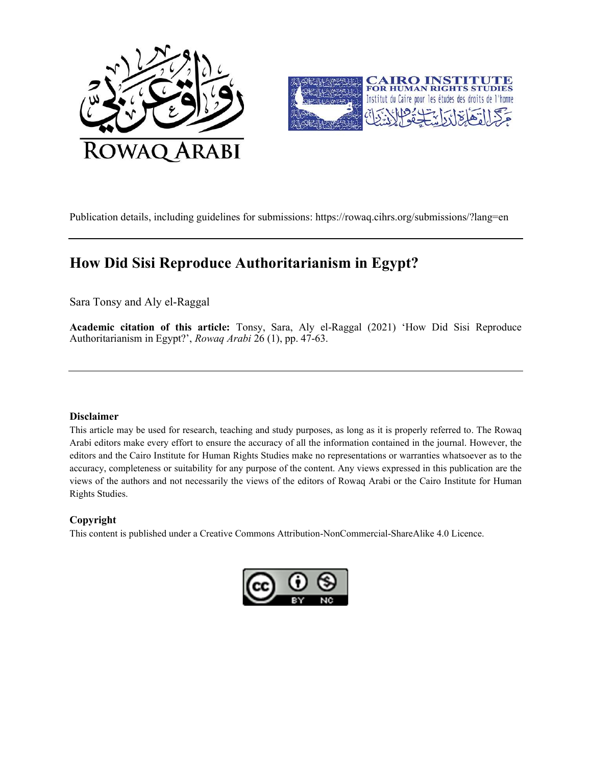



Publication details, including guidelines for submissions: https://rowaq.cihrs.org/submissions/?lang=en

# How Did Sisi Reproduce Authoritarianism in Egypt?

Sara Tonsy and Aly el-Raggal

Academic citation of this article: Tonsy, Sara, Aly el-Raggal (2021) 'How Did Sisi Reproduce Authoritarianism in Egypt?', Rowaq Arabi 26 (1), pp. 47-63.

## Disclaimer

This article may be used for research, teaching and study purposes, as long as it is properly referred to. The Rowaq Arabi editors make every effort to ensure the accuracy of all the information contained in the journal. However, the editors and the Cairo Institute for Human Rights Studies make no representations or warranties whatsoever as to the accuracy, completeness or suitability for any purpose of the content. Any views expressed in this publication are the views of the authors and not necessarily the views of the editors of Rowaq Arabi or the Cairo Institute for Human Rights Studies.

## Copyright

This content is published under a Creative Commons Attribution-NonCommercial-ShareAlike 4.0 Licence.

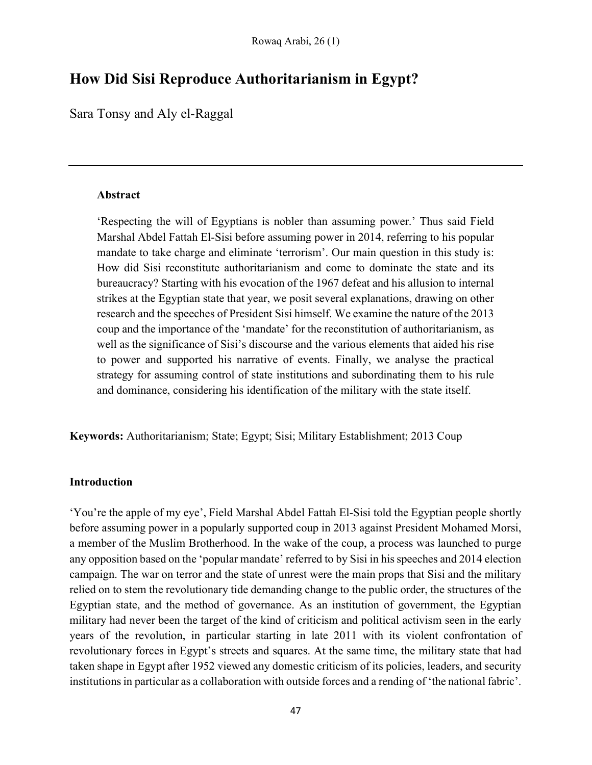# How Did Sisi Reproduce Authoritarianism in Egypt?

Sara Tonsy and Aly el-Raggal

# Abstract

'Respecting the will of Egyptians is nobler than assuming power.' Thus said Field Marshal Abdel Fattah El-Sisi before assuming power in 2014, referring to his popular mandate to take charge and eliminate 'terrorism'. Our main question in this study is: How did Sisi reconstitute authoritarianism and come to dominate the state and its bureaucracy? Starting with his evocation of the 1967 defeat and his allusion to internal strikes at the Egyptian state that year, we posit several explanations, drawing on other research and the speeches of President Sisi himself. We examine the nature of the 2013 coup and the importance of the 'mandate' for the reconstitution of authoritarianism, as well as the significance of Sisi's discourse and the various elements that aided his rise to power and supported his narrative of events. Finally, we analyse the practical strategy for assuming control of state institutions and subordinating them to his rule and dominance, considering his identification of the military with the state itself.

Keywords: Authoritarianism; State; Egypt; Sisi; Military Establishment; 2013 Coup

# Introduction

'You're the apple of my eye', Field Marshal Abdel Fattah El-Sisi told the Egyptian people shortly before assuming power in a popularly supported coup in 2013 against President Mohamed Morsi, a member of the Muslim Brotherhood. In the wake of the coup, a process was launched to purge any opposition based on the 'popular mandate' referred to by Sisi in his speeches and 2014 election campaign. The war on terror and the state of unrest were the main props that Sisi and the military relied on to stem the revolutionary tide demanding change to the public order, the structures of the Egyptian state, and the method of governance. As an institution of government, the Egyptian military had never been the target of the kind of criticism and political activism seen in the early years of the revolution, in particular starting in late 2011 with its violent confrontation of revolutionary forces in Egypt's streets and squares. At the same time, the military state that had taken shape in Egypt after 1952 viewed any domestic criticism of its policies, leaders, and security institutions in particular as a collaboration with outside forces and a rending of 'the national fabric'.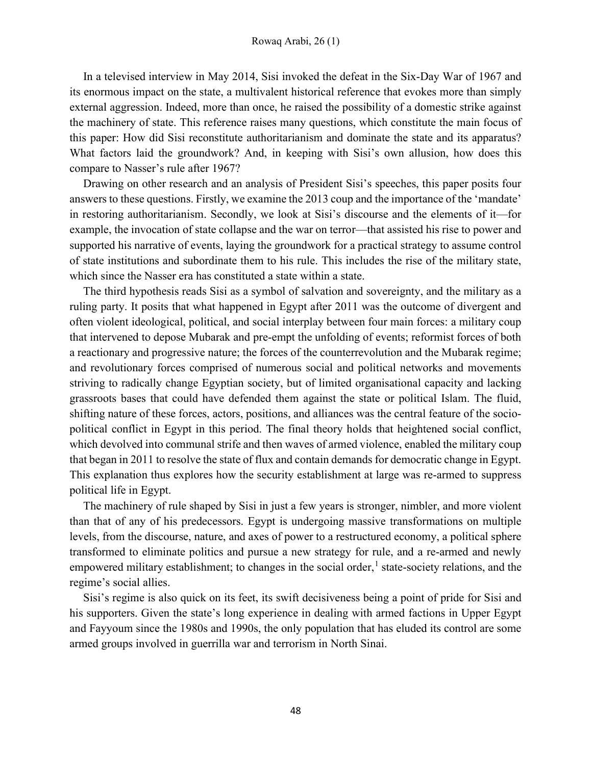In a televised interview in May 2014, Sisi invoked the defeat in the Six-Day War of 1967 and its enormous impact on the state, a multivalent historical reference that evokes more than simply external aggression. Indeed, more than once, he raised the possibility of a domestic strike against the machinery of state. This reference raises many questions, which constitute the main focus of this paper: How did Sisi reconstitute authoritarianism and dominate the state and its apparatus? What factors laid the groundwork? And, in keeping with Sisi's own allusion, how does this compare to Nasser's rule after 1967?

Drawing on other research and an analysis of President Sisi's speeches, this paper posits four answers to these questions. Firstly, we examine the 2013 coup and the importance of the 'mandate' in restoring authoritarianism. Secondly, we look at Sisi's discourse and the elements of it—for example, the invocation of state collapse and the war on terror—that assisted his rise to power and supported his narrative of events, laying the groundwork for a practical strategy to assume control of state institutions and subordinate them to his rule. This includes the rise of the military state, which since the Nasser era has constituted a state within a state.

The third hypothesis reads Sisi as a symbol of salvation and sovereignty, and the military as a ruling party. It posits that what happened in Egypt after 2011 was the outcome of divergent and often violent ideological, political, and social interplay between four main forces: a military coup that intervened to depose Mubarak and pre-empt the unfolding of events; reformist forces of both a reactionary and progressive nature; the forces of the counterrevolution and the Mubarak regime; and revolutionary forces comprised of numerous social and political networks and movements striving to radically change Egyptian society, but of limited organisational capacity and lacking grassroots bases that could have defended them against the state or political Islam. The fluid, shifting nature of these forces, actors, positions, and alliances was the central feature of the sociopolitical conflict in Egypt in this period. The final theory holds that heightened social conflict, which devolved into communal strife and then waves of armed violence, enabled the military coup that began in 2011 to resolve the state of flux and contain demands for democratic change in Egypt. This explanation thus explores how the security establishment at large was re-armed to suppress political life in Egypt.

The machinery of rule shaped by Sisi in just a few years is stronger, nimbler, and more violent than that of any of his predecessors. Egypt is undergoing massive transformations on multiple levels, from the discourse, nature, and axes of power to a restructured economy, a political sphere transformed to eliminate politics and pursue a new strategy for rule, and a re-armed and newly empowered military establishment; to changes in the social order,<sup>1</sup> state-society relations, and the regime's social allies.

Sisi's regime is also quick on its feet, its swift decisiveness being a point of pride for Sisi and his supporters. Given the state's long experience in dealing with armed factions in Upper Egypt and Fayyoum since the 1980s and 1990s, the only population that has eluded its control are some armed groups involved in guerrilla war and terrorism in North Sinai.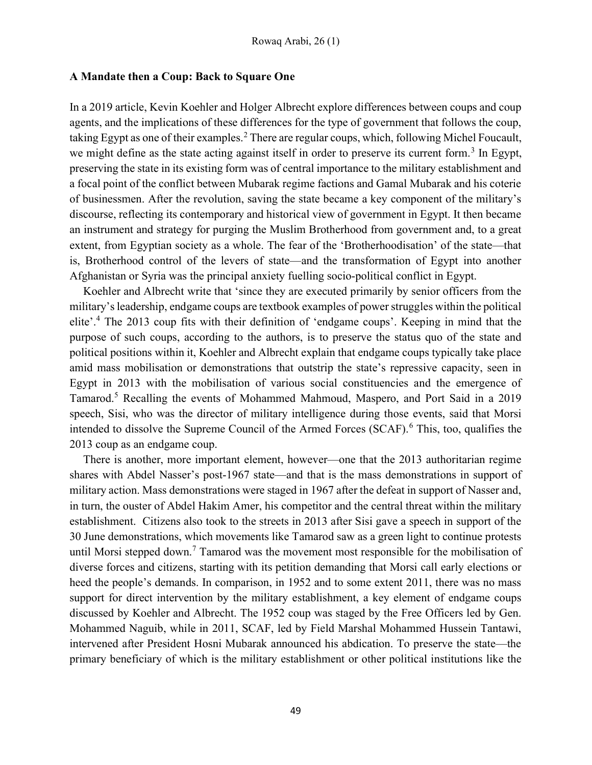## A Mandate then a Coup: Back to Square One

In a 2019 article, Kevin Koehler and Holger Albrecht explore differences between coups and coup agents, and the implications of these differences for the type of government that follows the coup, taking Egypt as one of their examples.<sup>2</sup> There are regular coups, which, following Michel Foucault, we might define as the state acting against itself in order to preserve its current form.<sup>3</sup> In Egypt, preserving the state in its existing form was of central importance to the military establishment and a focal point of the conflict between Mubarak regime factions and Gamal Mubarak and his coterie of businessmen. After the revolution, saving the state became a key component of the military's discourse, reflecting its contemporary and historical view of government in Egypt. It then became an instrument and strategy for purging the Muslim Brotherhood from government and, to a great extent, from Egyptian society as a whole. The fear of the 'Brotherhoodisation' of the state—that is, Brotherhood control of the levers of state—and the transformation of Egypt into another Afghanistan or Syria was the principal anxiety fuelling socio-political conflict in Egypt.

Koehler and Albrecht write that 'since they are executed primarily by senior officers from the military's leadership, endgame coups are textbook examples of power struggles within the political elite'.<sup>4</sup> The 2013 coup fits with their definition of 'endgame coups'. Keeping in mind that the purpose of such coups, according to the authors, is to preserve the status quo of the state and political positions within it, Koehler and Albrecht explain that endgame coups typically take place amid mass mobilisation or demonstrations that outstrip the state's repressive capacity, seen in Egypt in 2013 with the mobilisation of various social constituencies and the emergence of Tamarod.<sup>5</sup> Recalling the events of Mohammed Mahmoud, Maspero, and Port Said in a 2019 speech, Sisi, who was the director of military intelligence during those events, said that Morsi intended to dissolve the Supreme Council of the Armed Forces (SCAF).<sup>6</sup> This, too, qualifies the 2013 coup as an endgame coup.

There is another, more important element, however—one that the 2013 authoritarian regime shares with Abdel Nasser's post-1967 state—and that is the mass demonstrations in support of military action. Mass demonstrations were staged in 1967 after the defeat in support of Nasser and, in turn, the ouster of Abdel Hakim Amer, his competitor and the central threat within the military establishment. Citizens also took to the streets in 2013 after Sisi gave a speech in support of the 30 June demonstrations, which movements like Tamarod saw as a green light to continue protests until Morsi stepped down.<sup>7</sup> Tamarod was the movement most responsible for the mobilisation of diverse forces and citizens, starting with its petition demanding that Morsi call early elections or heed the people's demands. In comparison, in 1952 and to some extent 2011, there was no mass support for direct intervention by the military establishment, a key element of endgame coups discussed by Koehler and Albrecht. The 1952 coup was staged by the Free Officers led by Gen. Mohammed Naguib, while in 2011, SCAF, led by Field Marshal Mohammed Hussein Tantawi, intervened after President Hosni Mubarak announced his abdication. To preserve the state—the primary beneficiary of which is the military establishment or other political institutions like the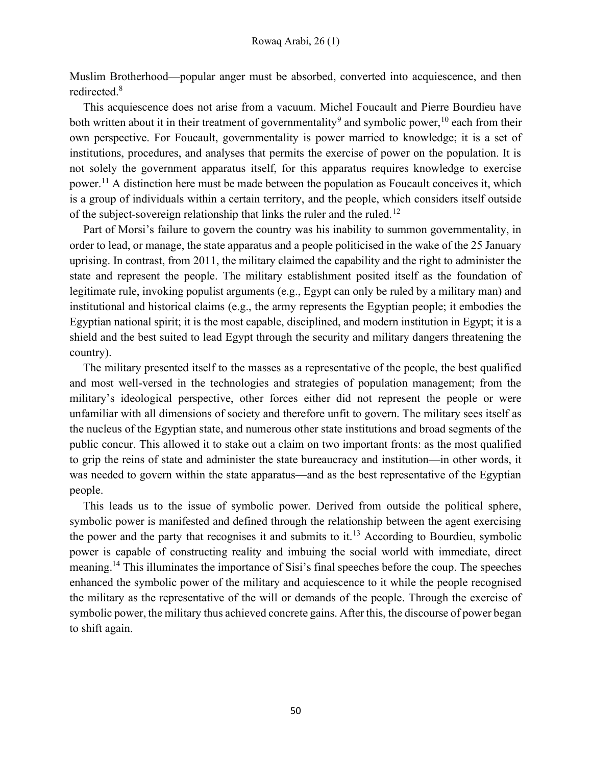Muslim Brotherhood—popular anger must be absorbed, converted into acquiescence, and then redirected.<sup>8</sup>

This acquiescence does not arise from a vacuum. Michel Foucault and Pierre Bourdieu have both written about it in their treatment of governmentality<sup>9</sup> and symbolic power,  $^{10}$  each from their own perspective. For Foucault, governmentality is power married to knowledge; it is a set of institutions, procedures, and analyses that permits the exercise of power on the population. It is not solely the government apparatus itself, for this apparatus requires knowledge to exercise power.<sup>11</sup> A distinction here must be made between the population as Foucault conceives it, which is a group of individuals within a certain territory, and the people, which considers itself outside of the subject-sovereign relationship that links the ruler and the ruled.<sup>12</sup>

Part of Morsi's failure to govern the country was his inability to summon governmentality, in order to lead, or manage, the state apparatus and a people politicised in the wake of the 25 January uprising. In contrast, from 2011, the military claimed the capability and the right to administer the state and represent the people. The military establishment posited itself as the foundation of legitimate rule, invoking populist arguments (e.g., Egypt can only be ruled by a military man) and institutional and historical claims (e.g., the army represents the Egyptian people; it embodies the Egyptian national spirit; it is the most capable, disciplined, and modern institution in Egypt; it is a shield and the best suited to lead Egypt through the security and military dangers threatening the country).

The military presented itself to the masses as a representative of the people, the best qualified and most well-versed in the technologies and strategies of population management; from the military's ideological perspective, other forces either did not represent the people or were unfamiliar with all dimensions of society and therefore unfit to govern. The military sees itself as the nucleus of the Egyptian state, and numerous other state institutions and broad segments of the public concur. This allowed it to stake out a claim on two important fronts: as the most qualified to grip the reins of state and administer the state bureaucracy and institution—in other words, it was needed to govern within the state apparatus—and as the best representative of the Egyptian people.

This leads us to the issue of symbolic power. Derived from outside the political sphere, symbolic power is manifested and defined through the relationship between the agent exercising the power and the party that recognises it and submits to it.<sup>13</sup> According to Bourdieu, symbolic power is capable of constructing reality and imbuing the social world with immediate, direct meaning.<sup>14</sup> This illuminates the importance of Sisi's final speeches before the coup. The speeches enhanced the symbolic power of the military and acquiescence to it while the people recognised the military as the representative of the will or demands of the people. Through the exercise of symbolic power, the military thus achieved concrete gains. After this, the discourse of power began to shift again.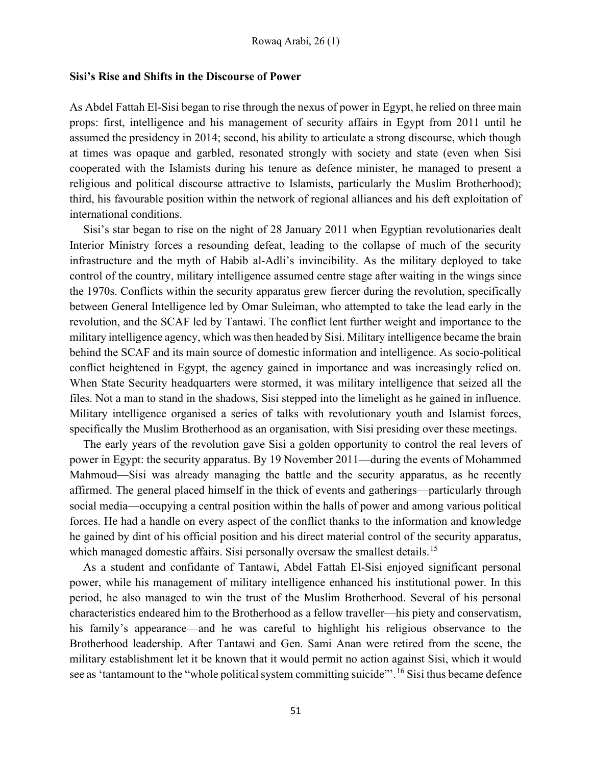#### Sisi's Rise and Shifts in the Discourse of Power

As Abdel Fattah El-Sisi began to rise through the nexus of power in Egypt, he relied on three main props: first, intelligence and his management of security affairs in Egypt from 2011 until he assumed the presidency in 2014; second, his ability to articulate a strong discourse, which though at times was opaque and garbled, resonated strongly with society and state (even when Sisi cooperated with the Islamists during his tenure as defence minister, he managed to present a religious and political discourse attractive to Islamists, particularly the Muslim Brotherhood); third, his favourable position within the network of regional alliances and his deft exploitation of international conditions.

Sisi's star began to rise on the night of 28 January 2011 when Egyptian revolutionaries dealt Interior Ministry forces a resounding defeat, leading to the collapse of much of the security infrastructure and the myth of Habib al-Adli's invincibility. As the military deployed to take control of the country, military intelligence assumed centre stage after waiting in the wings since the 1970s. Conflicts within the security apparatus grew fiercer during the revolution, specifically between General Intelligence led by Omar Suleiman, who attempted to take the lead early in the revolution, and the SCAF led by Tantawi. The conflict lent further weight and importance to the military intelligence agency, which was then headed by Sisi. Military intelligence became the brain behind the SCAF and its main source of domestic information and intelligence. As socio-political conflict heightened in Egypt, the agency gained in importance and was increasingly relied on. When State Security headquarters were stormed, it was military intelligence that seized all the files. Not a man to stand in the shadows, Sisi stepped into the limelight as he gained in influence. Military intelligence organised a series of talks with revolutionary youth and Islamist forces, specifically the Muslim Brotherhood as an organisation, with Sisi presiding over these meetings.

The early years of the revolution gave Sisi a golden opportunity to control the real levers of power in Egypt: the security apparatus. By 19 November 2011—during the events of Mohammed Mahmoud—Sisi was already managing the battle and the security apparatus, as he recently affirmed. The general placed himself in the thick of events and gatherings—particularly through social media—occupying a central position within the halls of power and among various political forces. He had a handle on every aspect of the conflict thanks to the information and knowledge he gained by dint of his official position and his direct material control of the security apparatus, which managed domestic affairs. Sisi personally oversaw the smallest details.<sup>15</sup>

As a student and confidante of Tantawi, Abdel Fattah El-Sisi enjoyed significant personal power, while his management of military intelligence enhanced his institutional power. In this period, he also managed to win the trust of the Muslim Brotherhood. Several of his personal characteristics endeared him to the Brotherhood as a fellow traveller—his piety and conservatism, his family's appearance—and he was careful to highlight his religious observance to the Brotherhood leadership. After Tantawi and Gen. Sami Anan were retired from the scene, the military establishment let it be known that it would permit no action against Sisi, which it would see as 'tantamount to the "whole political system committing suicide"'.<sup>16</sup> Sisi thus became defence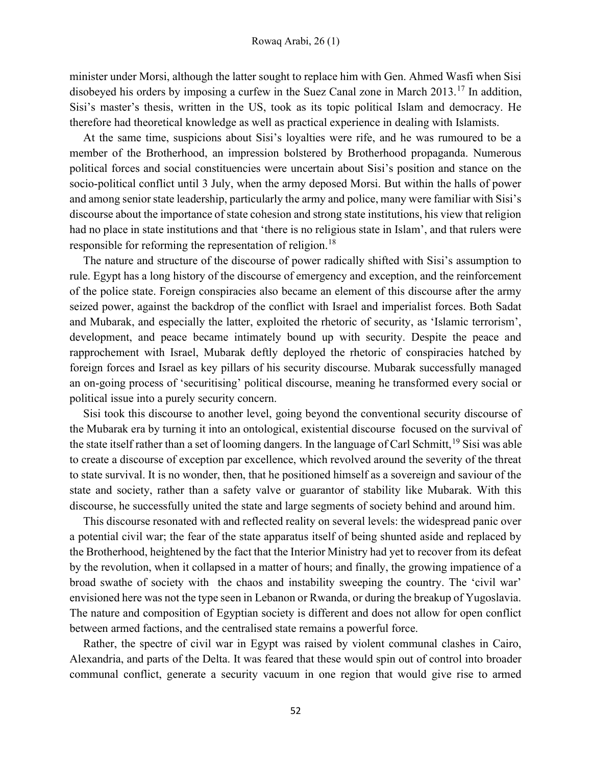minister under Morsi, although the latter sought to replace him with Gen. Ahmed Wasfi when Sisi disobeyed his orders by imposing a curfew in the Suez Canal zone in March 2013.<sup>17</sup> In addition, Sisi's master's thesis, written in the US, took as its topic political Islam and democracy. He therefore had theoretical knowledge as well as practical experience in dealing with Islamists.

At the same time, suspicions about Sisi's loyalties were rife, and he was rumoured to be a member of the Brotherhood, an impression bolstered by Brotherhood propaganda. Numerous political forces and social constituencies were uncertain about Sisi's position and stance on the socio-political conflict until 3 July, when the army deposed Morsi. But within the halls of power and among senior state leadership, particularly the army and police, many were familiar with Sisi's discourse about the importance of state cohesion and strong state institutions, his view that religion had no place in state institutions and that 'there is no religious state in Islam', and that rulers were responsible for reforming the representation of religion.<sup>18</sup>

The nature and structure of the discourse of power radically shifted with Sisi's assumption to rule. Egypt has a long history of the discourse of emergency and exception, and the reinforcement of the police state. Foreign conspiracies also became an element of this discourse after the army seized power, against the backdrop of the conflict with Israel and imperialist forces. Both Sadat and Mubarak, and especially the latter, exploited the rhetoric of security, as 'Islamic terrorism', development, and peace became intimately bound up with security. Despite the peace and rapprochement with Israel, Mubarak deftly deployed the rhetoric of conspiracies hatched by foreign forces and Israel as key pillars of his security discourse. Mubarak successfully managed an on-going process of 'securitising' political discourse, meaning he transformed every social or political issue into a purely security concern.

Sisi took this discourse to another level, going beyond the conventional security discourse of the Mubarak era by turning it into an ontological, existential discourse focused on the survival of the state itself rather than a set of looming dangers. In the language of Carl Schmitt,  $^{19}$  Sisi was able to create a discourse of exception par excellence, which revolved around the severity of the threat to state survival. It is no wonder, then, that he positioned himself as a sovereign and saviour of the state and society, rather than a safety valve or guarantor of stability like Mubarak. With this discourse, he successfully united the state and large segments of society behind and around him.

This discourse resonated with and reflected reality on several levels: the widespread panic over a potential civil war; the fear of the state apparatus itself of being shunted aside and replaced by the Brotherhood, heightened by the fact that the Interior Ministry had yet to recover from its defeat by the revolution, when it collapsed in a matter of hours; and finally, the growing impatience of a broad swathe of society with the chaos and instability sweeping the country. The 'civil war' envisioned here was not the type seen in Lebanon or Rwanda, or during the breakup of Yugoslavia. The nature and composition of Egyptian society is different and does not allow for open conflict between armed factions, and the centralised state remains a powerful force.

Rather, the spectre of civil war in Egypt was raised by violent communal clashes in Cairo, Alexandria, and parts of the Delta. It was feared that these would spin out of control into broader communal conflict, generate a security vacuum in one region that would give rise to armed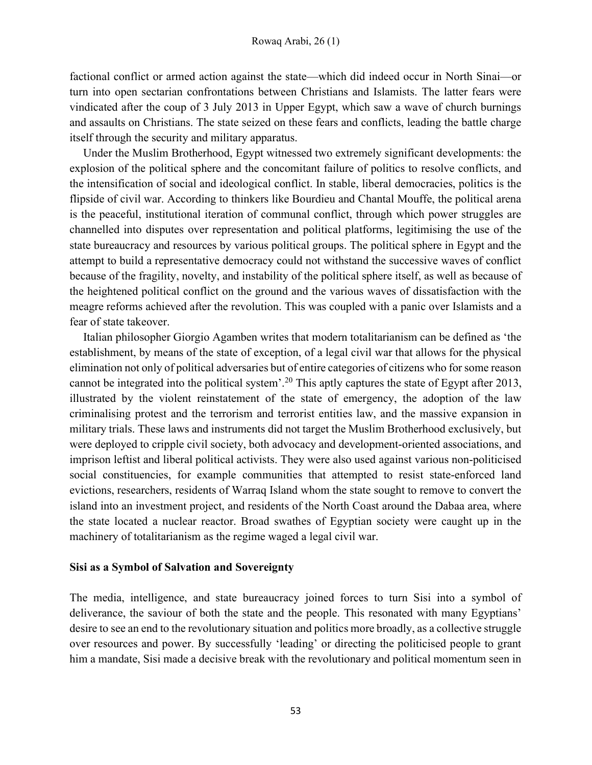factional conflict or armed action against the state—which did indeed occur in North Sinai—or turn into open sectarian confrontations between Christians and Islamists. The latter fears were vindicated after the coup of 3 July 2013 in Upper Egypt, which saw a wave of church burnings and assaults on Christians. The state seized on these fears and conflicts, leading the battle charge itself through the security and military apparatus.

Under the Muslim Brotherhood, Egypt witnessed two extremely significant developments: the explosion of the political sphere and the concomitant failure of politics to resolve conflicts, and the intensification of social and ideological conflict. In stable, liberal democracies, politics is the flipside of civil war. According to thinkers like Bourdieu and Chantal Mouffe, the political arena is the peaceful, institutional iteration of communal conflict, through which power struggles are channelled into disputes over representation and political platforms, legitimising the use of the state bureaucracy and resources by various political groups. The political sphere in Egypt and the attempt to build a representative democracy could not withstand the successive waves of conflict because of the fragility, novelty, and instability of the political sphere itself, as well as because of the heightened political conflict on the ground and the various waves of dissatisfaction with the meagre reforms achieved after the revolution. This was coupled with a panic over Islamists and a fear of state takeover.

Italian philosopher Giorgio Agamben writes that modern totalitarianism can be defined as 'the establishment, by means of the state of exception, of a legal civil war that allows for the physical elimination not only of political adversaries but of entire categories of citizens who for some reason cannot be integrated into the political system'.<sup>20</sup> This aptly captures the state of Egypt after 2013, illustrated by the violent reinstatement of the state of emergency, the adoption of the law criminalising protest and the terrorism and terrorist entities law, and the massive expansion in military trials. These laws and instruments did not target the Muslim Brotherhood exclusively, but were deployed to cripple civil society, both advocacy and development-oriented associations, and imprison leftist and liberal political activists. They were also used against various non-politicised social constituencies, for example communities that attempted to resist state-enforced land evictions, researchers, residents of Warraq Island whom the state sought to remove to convert the island into an investment project, and residents of the North Coast around the Dabaa area, where the state located a nuclear reactor. Broad swathes of Egyptian society were caught up in the machinery of totalitarianism as the regime waged a legal civil war.

#### Sisi as a Symbol of Salvation and Sovereignty

The media, intelligence, and state bureaucracy joined forces to turn Sisi into a symbol of deliverance, the saviour of both the state and the people. This resonated with many Egyptians' desire to see an end to the revolutionary situation and politics more broadly, as a collective struggle over resources and power. By successfully 'leading' or directing the politicised people to grant him a mandate, Sisi made a decisive break with the revolutionary and political momentum seen in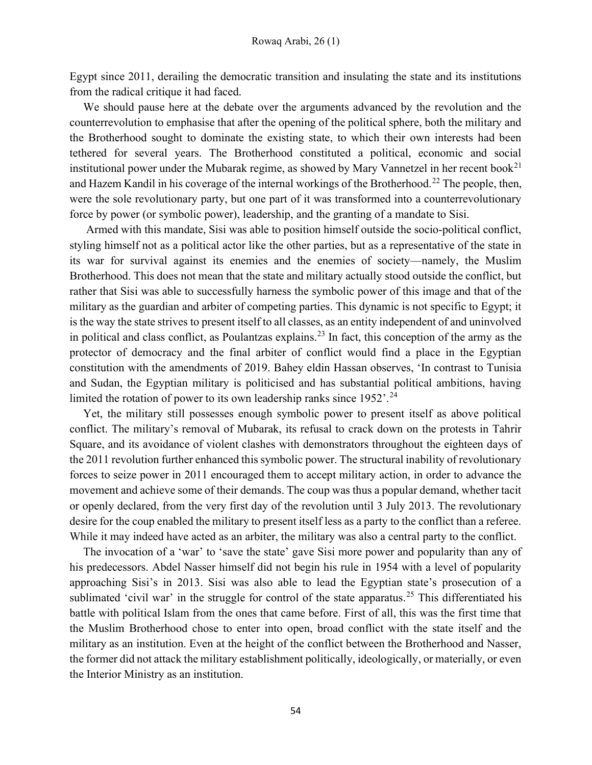Egypt since 2011, derailing the democratic transition and insulating the state and its institutions from the radical critique it had faced.

We should pause here at the debate over the arguments advanced by the revolution and the counterrevolution to emphasise that after the opening of the political sphere, both the military and the Brotherhood sought to dominate the existing state, to which their own interests had been tethered for several years. The Brotherhood constituted a political, economic and social institutional power under the Mubarak regime, as showed by Mary Vannetzel in her recent book<sup>21</sup> and Hazem Kandil in his coverage of the internal workings of the Brotherhood.<sup>22</sup> The people, then, were the sole revolutionary party, but one part of it was transformed into a counterrevolutionary force by power (or symbolic power), leadership, and the granting of a mandate to Sisi.

 Armed with this mandate, Sisi was able to position himself outside the socio-political conflict, styling himself not as a political actor like the other parties, but as a representative of the state in its war for survival against its enemies and the enemies of society—namely, the Muslim Brotherhood. This does not mean that the state and military actually stood outside the conflict, but rather that Sisi was able to successfully harness the symbolic power of this image and that of the military as the guardian and arbiter of competing parties. This dynamic is not specific to Egypt; it is the way the state strives to present itself to all classes, as an entity independent of and uninvolved in political and class conflict, as Poulantzas explains.<sup>23</sup> In fact, this conception of the army as the protector of democracy and the final arbiter of conflict would find a place in the Egyptian constitution with the amendments of 2019. Bahey eldin Hassan observes, 'In contrast to Tunisia and Sudan, the Egyptian military is politicised and has substantial political ambitions, having limited the rotation of power to its own leadership ranks since  $1952$ <sup>24</sup>.

Yet, the military still possesses enough symbolic power to present itself as above political conflict. The military's removal of Mubarak, its refusal to crack down on the protests in Tahrir Square, and its avoidance of violent clashes with demonstrators throughout the eighteen days of the 2011 revolution further enhanced this symbolic power. The structural inability of revolutionary forces to seize power in 2011 encouraged them to accept military action, in order to advance the movement and achieve some of their demands. The coup was thus a popular demand, whether tacit or openly declared, from the very first day of the revolution until 3 July 2013. The revolutionary desire for the coup enabled the military to present itself less as a party to the conflict than a referee. While it may indeed have acted as an arbiter, the military was also a central party to the conflict.

The invocation of a 'war' to 'save the state' gave Sisi more power and popularity than any of his predecessors. Abdel Nasser himself did not begin his rule in 1954 with a level of popularity approaching Sisi's in 2013. Sisi was also able to lead the Egyptian state's prosecution of a sublimated 'civil war' in the struggle for control of the state apparatus.<sup>25</sup> This differentiated his battle with political Islam from the ones that came before. First of all, this was the first time that the Muslim Brotherhood chose to enter into open, broad conflict with the state itself and the military as an institution. Even at the height of the conflict between the Brotherhood and Nasser, the former did not attack the military establishment politically, ideologically, or materially, or even the Interior Ministry as an institution.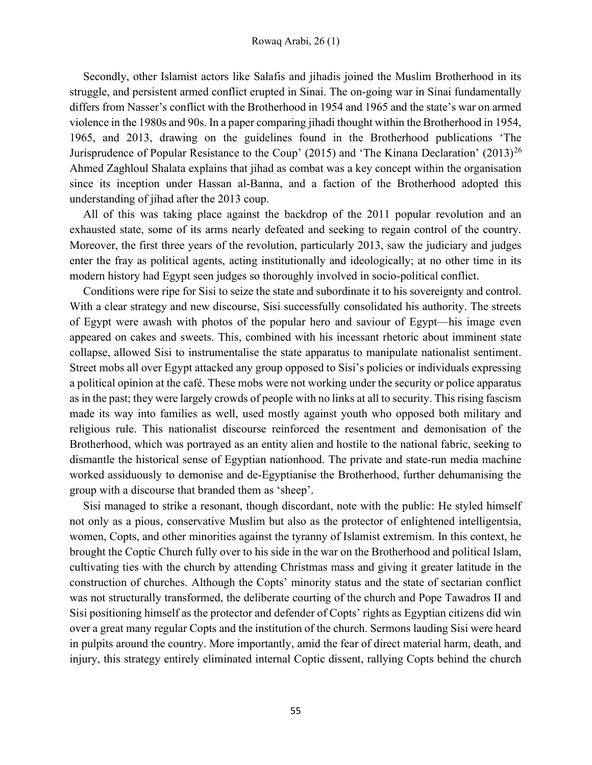#### Rowaq Arabi, 26 (1)

Secondly, other Islamist actors like Salafis and jihadis joined the Muslim Brotherhood in its struggle, and persistent armed conflict erupted in Sinai. The on-going war in Sinai fundamentally differs from Nasser's conflict with the Brotherhood in 1954 and 1965 and the state's war on armed violence in the 1980s and 90s. In a paper comparing jihadi thought within the Brotherhood in 1954, 1965, and 2013, drawing on the guidelines found in the Brotherhood publications 'The Jurisprudence of Popular Resistance to the Coup' (2015) and 'The Kinana Declaration' (2013)<sup>26</sup> Ahmed Zaghloul Shalata explains that jihad as combat was a key concept within the organisation since its inception under Hassan al-Banna, and a faction of the Brotherhood adopted this understanding of jihad after the 2013 coup.

All of this was taking place against the backdrop of the 2011 popular revolution and an exhausted state, some of its arms nearly defeated and seeking to regain control of the country. Moreover, the first three years of the revolution, particularly 2013, saw the judiciary and judges enter the fray as political agents, acting institutionally and ideologically; at no other time in its modern history had Egypt seen judges so thoroughly involved in socio-political conflict.

Conditions were ripe for Sisi to seize the state and subordinate it to his sovereignty and control. With a clear strategy and new discourse, Sisi successfully consolidated his authority. The streets of Egypt were awash with photos of the popular hero and saviour of Egypt—his image even appeared on cakes and sweets. This, combined with his incessant rhetoric about imminent state collapse, allowed Sisi to instrumentalise the state apparatus to manipulate nationalist sentiment. Street mobs all over Egypt attacked any group opposed to Sisi's policies or individuals expressing a political opinion at the café. These mobs were not working under the security or police apparatus as in the past; they were largely crowds of people with no links at all to security. This rising fascism made its way into families as well, used mostly against youth who opposed both military and religious rule. This nationalist discourse reinforced the resentment and demonisation of the Brotherhood, which was portrayed as an entity alien and hostile to the national fabric, seeking to dismantle the historical sense of Egyptian nationhood. The private and state-run media machine worked assiduously to demonise and de-Egyptianise the Brotherhood, further dehumanising the group with a discourse that branded them as 'sheep'.

Sisi managed to strike a resonant, though discordant, note with the public: He styled himself not only as a pious, conservative Muslim but also as the protector of enlightened intelligentsia, women, Copts, and other minorities against the tyranny of Islamist extremism. In this context, he brought the Coptic Church fully over to his side in the war on the Brotherhood and political Islam, cultivating ties with the church by attending Christmas mass and giving it greater latitude in the construction of churches. Although the Copts' minority status and the state of sectarian conflict was not structurally transformed, the deliberate courting of the church and Pope Tawadros II and Sisi positioning himself as the protector and defender of Copts' rights as Egyptian citizens did win over a great many regular Copts and the institution of the church. Sermons lauding Sisi were heard in pulpits around the country. More importantly, amid the fear of direct material harm, death, and injury, this strategy entirely eliminated internal Coptic dissent, rallying Copts behind the church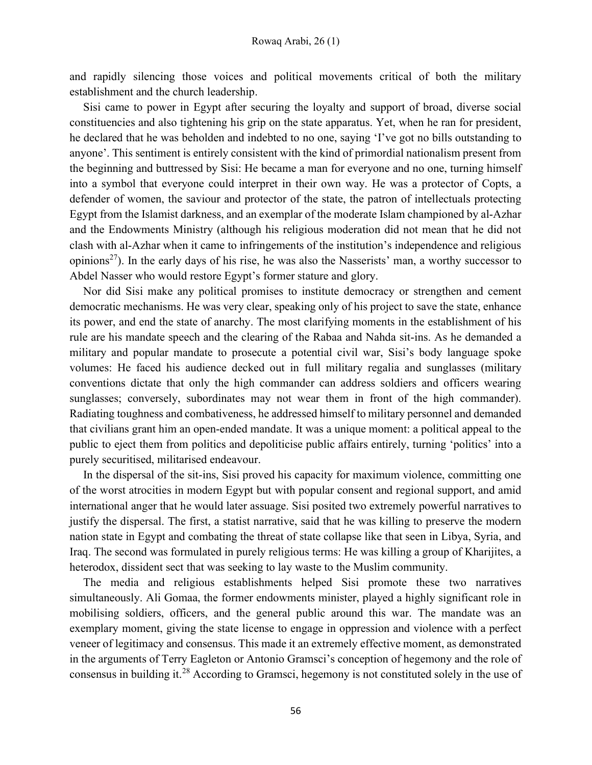and rapidly silencing those voices and political movements critical of both the military establishment and the church leadership.

Sisi came to power in Egypt after securing the loyalty and support of broad, diverse social constituencies and also tightening his grip on the state apparatus. Yet, when he ran for president, he declared that he was beholden and indebted to no one, saying 'I've got no bills outstanding to anyone'. This sentiment is entirely consistent with the kind of primordial nationalism present from the beginning and buttressed by Sisi: He became a man for everyone and no one, turning himself into a symbol that everyone could interpret in their own way. He was a protector of Copts, a defender of women, the saviour and protector of the state, the patron of intellectuals protecting Egypt from the Islamist darkness, and an exemplar of the moderate Islam championed by al-Azhar and the Endowments Ministry (although his religious moderation did not mean that he did not clash with al-Azhar when it came to infringements of the institution's independence and religious opinions<sup>27</sup>). In the early days of his rise, he was also the Nasserists' man, a worthy successor to Abdel Nasser who would restore Egypt's former stature and glory.

Nor did Sisi make any political promises to institute democracy or strengthen and cement democratic mechanisms. He was very clear, speaking only of his project to save the state, enhance its power, and end the state of anarchy. The most clarifying moments in the establishment of his rule are his mandate speech and the clearing of the Rabaa and Nahda sit-ins. As he demanded a military and popular mandate to prosecute a potential civil war, Sisi's body language spoke volumes: He faced his audience decked out in full military regalia and sunglasses (military conventions dictate that only the high commander can address soldiers and officers wearing sunglasses; conversely, subordinates may not wear them in front of the high commander). Radiating toughness and combativeness, he addressed himself to military personnel and demanded that civilians grant him an open-ended mandate. It was a unique moment: a political appeal to the public to eject them from politics and depoliticise public affairs entirely, turning 'politics' into a purely securitised, militarised endeavour.

In the dispersal of the sit-ins, Sisi proved his capacity for maximum violence, committing one of the worst atrocities in modern Egypt but with popular consent and regional support, and amid international anger that he would later assuage. Sisi posited two extremely powerful narratives to justify the dispersal. The first, a statist narrative, said that he was killing to preserve the modern nation state in Egypt and combating the threat of state collapse like that seen in Libya, Syria, and Iraq. The second was formulated in purely religious terms: He was killing a group of Kharijites, a heterodox, dissident sect that was seeking to lay waste to the Muslim community.

The media and religious establishments helped Sisi promote these two narratives simultaneously. Ali Gomaa, the former endowments minister, played a highly significant role in mobilising soldiers, officers, and the general public around this war. The mandate was an exemplary moment, giving the state license to engage in oppression and violence with a perfect veneer of legitimacy and consensus. This made it an extremely effective moment, as demonstrated in the arguments of Terry Eagleton or Antonio Gramsci's conception of hegemony and the role of consensus in building it.<sup>28</sup> According to Gramsci, hegemony is not constituted solely in the use of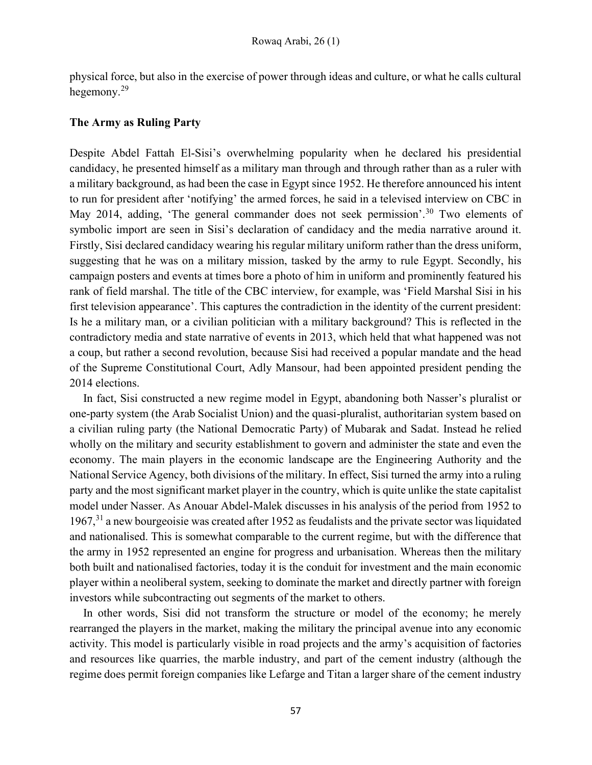physical force, but also in the exercise of power through ideas and culture, or what he calls cultural hegemony.<sup>29</sup>

## The Army as Ruling Party

Despite Abdel Fattah El-Sisi's overwhelming popularity when he declared his presidential candidacy, he presented himself as a military man through and through rather than as a ruler with a military background, as had been the case in Egypt since 1952. He therefore announced his intent to run for president after 'notifying' the armed forces, he said in a televised interview on CBC in May 2014, adding, 'The general commander does not seek permission'.<sup>30</sup> Two elements of symbolic import are seen in Sisi's declaration of candidacy and the media narrative around it. Firstly, Sisi declared candidacy wearing his regular military uniform rather than the dress uniform, suggesting that he was on a military mission, tasked by the army to rule Egypt. Secondly, his campaign posters and events at times bore a photo of him in uniform and prominently featured his rank of field marshal. The title of the CBC interview, for example, was 'Field Marshal Sisi in his first television appearance'. This captures the contradiction in the identity of the current president: Is he a military man, or a civilian politician with a military background? This is reflected in the contradictory media and state narrative of events in 2013, which held that what happened was not a coup, but rather a second revolution, because Sisi had received a popular mandate and the head of the Supreme Constitutional Court, Adly Mansour, had been appointed president pending the 2014 elections.

In fact, Sisi constructed a new regime model in Egypt, abandoning both Nasser's pluralist or one-party system (the Arab Socialist Union) and the quasi-pluralist, authoritarian system based on a civilian ruling party (the National Democratic Party) of Mubarak and Sadat. Instead he relied wholly on the military and security establishment to govern and administer the state and even the economy. The main players in the economic landscape are the Engineering Authority and the National Service Agency, both divisions of the military. In effect, Sisi turned the army into a ruling party and the most significant market player in the country, which is quite unlike the state capitalist model under Nasser. As Anouar Abdel-Malek discusses in his analysis of the period from 1952 to 1967,<sup>31</sup> a new bourgeoisie was created after 1952 as feudalists and the private sector was liquidated and nationalised. This is somewhat comparable to the current regime, but with the difference that the army in 1952 represented an engine for progress and urbanisation. Whereas then the military both built and nationalised factories, today it is the conduit for investment and the main economic player within a neoliberal system, seeking to dominate the market and directly partner with foreign investors while subcontracting out segments of the market to others.

In other words, Sisi did not transform the structure or model of the economy; he merely rearranged the players in the market, making the military the principal avenue into any economic activity. This model is particularly visible in road projects and the army's acquisition of factories and resources like quarries, the marble industry, and part of the cement industry (although the regime does permit foreign companies like Lefarge and Titan a larger share of the cement industry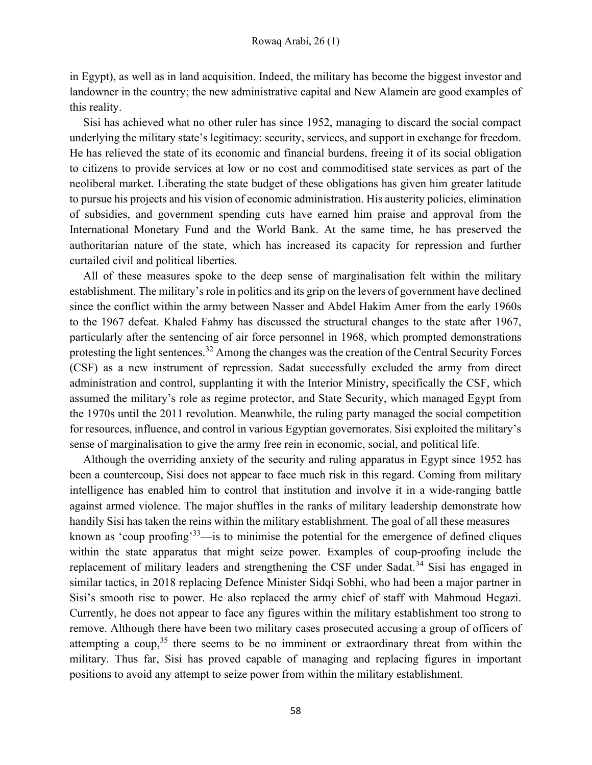in Egypt), as well as in land acquisition. Indeed, the military has become the biggest investor and landowner in the country; the new administrative capital and New Alamein are good examples of this reality.

Sisi has achieved what no other ruler has since 1952, managing to discard the social compact underlying the military state's legitimacy: security, services, and support in exchange for freedom. He has relieved the state of its economic and financial burdens, freeing it of its social obligation to citizens to provide services at low or no cost and commoditised state services as part of the neoliberal market. Liberating the state budget of these obligations has given him greater latitude to pursue his projects and his vision of economic administration. His austerity policies, elimination of subsidies, and government spending cuts have earned him praise and approval from the International Monetary Fund and the World Bank. At the same time, he has preserved the authoritarian nature of the state, which has increased its capacity for repression and further curtailed civil and political liberties.

All of these measures spoke to the deep sense of marginalisation felt within the military establishment. The military's role in politics and its grip on the levers of government have declined since the conflict within the army between Nasser and Abdel Hakim Amer from the early 1960s to the 1967 defeat. Khaled Fahmy has discussed the structural changes to the state after 1967, particularly after the sentencing of air force personnel in 1968, which prompted demonstrations protesting the light sentences.<sup>32</sup> Among the changes was the creation of the Central Security Forces (CSF) as a new instrument of repression. Sadat successfully excluded the army from direct administration and control, supplanting it with the Interior Ministry, specifically the CSF, which assumed the military's role as regime protector, and State Security, which managed Egypt from the 1970s until the 2011 revolution. Meanwhile, the ruling party managed the social competition for resources, influence, and control in various Egyptian governorates. Sisi exploited the military's sense of marginalisation to give the army free rein in economic, social, and political life.

Although the overriding anxiety of the security and ruling apparatus in Egypt since 1952 has been a countercoup, Sisi does not appear to face much risk in this regard. Coming from military intelligence has enabled him to control that institution and involve it in a wide-ranging battle against armed violence. The major shuffles in the ranks of military leadership demonstrate how handily Sisi has taken the reins within the military establishment. The goal of all these measures known as 'coup proofing'<sup>33</sup>—is to minimise the potential for the emergence of defined cliques within the state apparatus that might seize power. Examples of coup-proofing include the replacement of military leaders and strengthening the CSF under Sadat.<sup>34</sup> Sisi has engaged in similar tactics, in 2018 replacing Defence Minister Sidqi Sobhi, who had been a major partner in Sisi's smooth rise to power. He also replaced the army chief of staff with Mahmoud Hegazi. Currently, he does not appear to face any figures within the military establishment too strong to remove. Although there have been two military cases prosecuted accusing a group of officers of attempting a coup,<sup>35</sup> there seems to be no imminent or extraordinary threat from within the military. Thus far, Sisi has proved capable of managing and replacing figures in important positions to avoid any attempt to seize power from within the military establishment.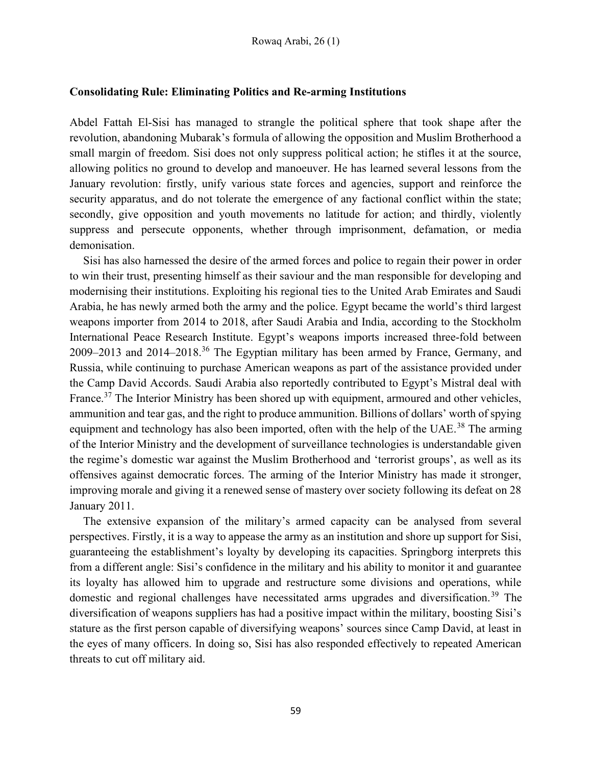### Consolidating Rule: Eliminating Politics and Re-arming Institutions

Abdel Fattah El-Sisi has managed to strangle the political sphere that took shape after the revolution, abandoning Mubarak's formula of allowing the opposition and Muslim Brotherhood a small margin of freedom. Sisi does not only suppress political action; he stifles it at the source, allowing politics no ground to develop and manoeuver. He has learned several lessons from the January revolution: firstly, unify various state forces and agencies, support and reinforce the security apparatus, and do not tolerate the emergence of any factional conflict within the state; secondly, give opposition and youth movements no latitude for action; and thirdly, violently suppress and persecute opponents, whether through imprisonment, defamation, or media demonisation.

Sisi has also harnessed the desire of the armed forces and police to regain their power in order to win their trust, presenting himself as their saviour and the man responsible for developing and modernising their institutions. Exploiting his regional ties to the United Arab Emirates and Saudi Arabia, he has newly armed both the army and the police. Egypt became the world's third largest weapons importer from 2014 to 2018, after Saudi Arabia and India, according to the Stockholm International Peace Research Institute. Egypt's weapons imports increased three-fold between 2009–2013 and 2014–2018.<sup>36</sup> The Egyptian military has been armed by France, Germany, and Russia, while continuing to purchase American weapons as part of the assistance provided under the Camp David Accords. Saudi Arabia also reportedly contributed to Egypt's Mistral deal with France.<sup>37</sup> The Interior Ministry has been shored up with equipment, armoured and other vehicles, ammunition and tear gas, and the right to produce ammunition. Billions of dollars' worth of spying equipment and technology has also been imported, often with the help of the UAE.<sup>38</sup> The arming of the Interior Ministry and the development of surveillance technologies is understandable given the regime's domestic war against the Muslim Brotherhood and 'terrorist groups', as well as its offensives against democratic forces. The arming of the Interior Ministry has made it stronger, improving morale and giving it a renewed sense of mastery over society following its defeat on 28 January 2011.

The extensive expansion of the military's armed capacity can be analysed from several perspectives. Firstly, it is a way to appease the army as an institution and shore up support for Sisi, guaranteeing the establishment's loyalty by developing its capacities. Springborg interprets this from a different angle: Sisi's confidence in the military and his ability to monitor it and guarantee its loyalty has allowed him to upgrade and restructure some divisions and operations, while domestic and regional challenges have necessitated arms upgrades and diversification.<sup>39</sup> The diversification of weapons suppliers has had a positive impact within the military, boosting Sisi's stature as the first person capable of diversifying weapons' sources since Camp David, at least in the eyes of many officers. In doing so, Sisi has also responded effectively to repeated American threats to cut off military aid.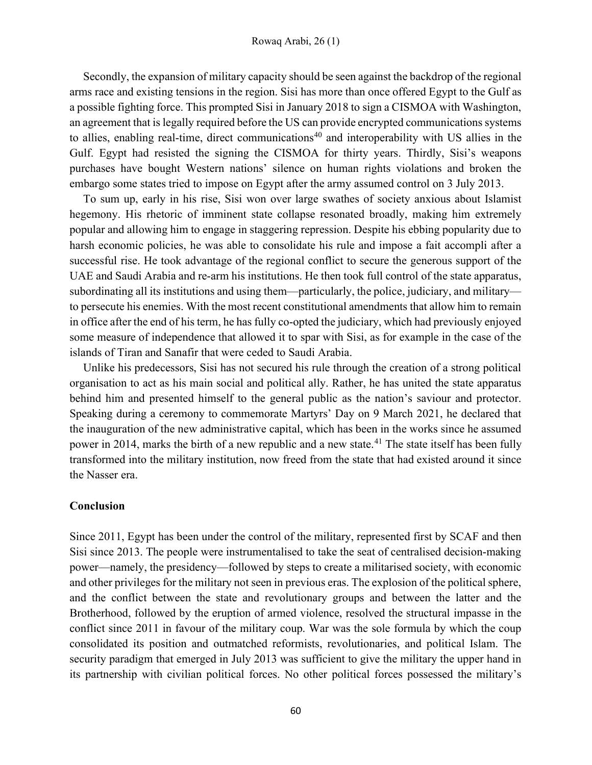Secondly, the expansion of military capacity should be seen against the backdrop of the regional arms race and existing tensions in the region. Sisi has more than once offered Egypt to the Gulf as a possible fighting force. This prompted Sisi in January 2018 to sign a CISMOA with Washington, an agreement that is legally required before the US can provide encrypted communications systems to allies, enabling real-time, direct communications<sup>40</sup> and interoperability with US allies in the Gulf. Egypt had resisted the signing the CISMOA for thirty years. Thirdly, Sisi's weapons purchases have bought Western nations' silence on human rights violations and broken the embargo some states tried to impose on Egypt after the army assumed control on 3 July 2013.

To sum up, early in his rise, Sisi won over large swathes of society anxious about Islamist hegemony. His rhetoric of imminent state collapse resonated broadly, making him extremely popular and allowing him to engage in staggering repression. Despite his ebbing popularity due to harsh economic policies, he was able to consolidate his rule and impose a fait accompli after a successful rise. He took advantage of the regional conflict to secure the generous support of the UAE and Saudi Arabia and re-arm his institutions. He then took full control of the state apparatus, subordinating all its institutions and using them—particularly, the police, judiciary, and military to persecute his enemies. With the most recent constitutional amendments that allow him to remain in office after the end of his term, he has fully co-opted the judiciary, which had previously enjoyed some measure of independence that allowed it to spar with Sisi, as for example in the case of the islands of Tiran and Sanafir that were ceded to Saudi Arabia.

Unlike his predecessors, Sisi has not secured his rule through the creation of a strong political organisation to act as his main social and political ally. Rather, he has united the state apparatus behind him and presented himself to the general public as the nation's saviour and protector. Speaking during a ceremony to commemorate Martyrs' Day on 9 March 2021, he declared that the inauguration of the new administrative capital, which has been in the works since he assumed power in 2014, marks the birth of a new republic and a new state.<sup>41</sup> The state itself has been fully transformed into the military institution, now freed from the state that had existed around it since the Nasser era.

#### Conclusion

Since 2011, Egypt has been under the control of the military, represented first by SCAF and then Sisi since 2013. The people were instrumentalised to take the seat of centralised decision-making power—namely, the presidency—followed by steps to create a militarised society, with economic and other privileges for the military not seen in previous eras. The explosion of the political sphere, and the conflict between the state and revolutionary groups and between the latter and the Brotherhood, followed by the eruption of armed violence, resolved the structural impasse in the conflict since 2011 in favour of the military coup. War was the sole formula by which the coup consolidated its position and outmatched reformists, revolutionaries, and political Islam. The security paradigm that emerged in July 2013 was sufficient to give the military the upper hand in its partnership with civilian political forces. No other political forces possessed the military's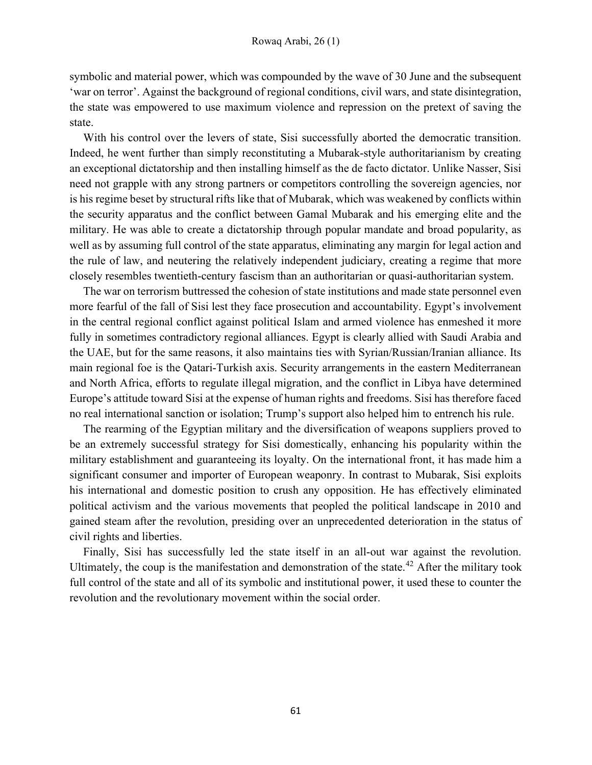symbolic and material power, which was compounded by the wave of 30 June and the subsequent 'war on terror'. Against the background of regional conditions, civil wars, and state disintegration, the state was empowered to use maximum violence and repression on the pretext of saving the state.

With his control over the levers of state, Sisi successfully aborted the democratic transition. Indeed, he went further than simply reconstituting a Mubarak-style authoritarianism by creating an exceptional dictatorship and then installing himself as the de facto dictator. Unlike Nasser, Sisi need not grapple with any strong partners or competitors controlling the sovereign agencies, nor is his regime beset by structural rifts like that of Mubarak, which was weakened by conflicts within the security apparatus and the conflict between Gamal Mubarak and his emerging elite and the military. He was able to create a dictatorship through popular mandate and broad popularity, as well as by assuming full control of the state apparatus, eliminating any margin for legal action and the rule of law, and neutering the relatively independent judiciary, creating a regime that more closely resembles twentieth-century fascism than an authoritarian or quasi-authoritarian system.

The war on terrorism buttressed the cohesion of state institutions and made state personnel even more fearful of the fall of Sisi lest they face prosecution and accountability. Egypt's involvement in the central regional conflict against political Islam and armed violence has enmeshed it more fully in sometimes contradictory regional alliances. Egypt is clearly allied with Saudi Arabia and the UAE, but for the same reasons, it also maintains ties with Syrian/Russian/Iranian alliance. Its main regional foe is the Qatari-Turkish axis. Security arrangements in the eastern Mediterranean and North Africa, efforts to regulate illegal migration, and the conflict in Libya have determined Europe's attitude toward Sisi at the expense of human rights and freedoms. Sisi has therefore faced no real international sanction or isolation; Trump's support also helped him to entrench his rule.

The rearming of the Egyptian military and the diversification of weapons suppliers proved to be an extremely successful strategy for Sisi domestically, enhancing his popularity within the military establishment and guaranteeing its loyalty. On the international front, it has made him a significant consumer and importer of European weaponry. In contrast to Mubarak, Sisi exploits his international and domestic position to crush any opposition. He has effectively eliminated political activism and the various movements that peopled the political landscape in 2010 and gained steam after the revolution, presiding over an unprecedented deterioration in the status of civil rights and liberties.

Finally, Sisi has successfully led the state itself in an all-out war against the revolution. Ultimately, the coup is the manifestation and demonstration of the state.<sup>42</sup> After the military took full control of the state and all of its symbolic and institutional power, it used these to counter the revolution and the revolutionary movement within the social order.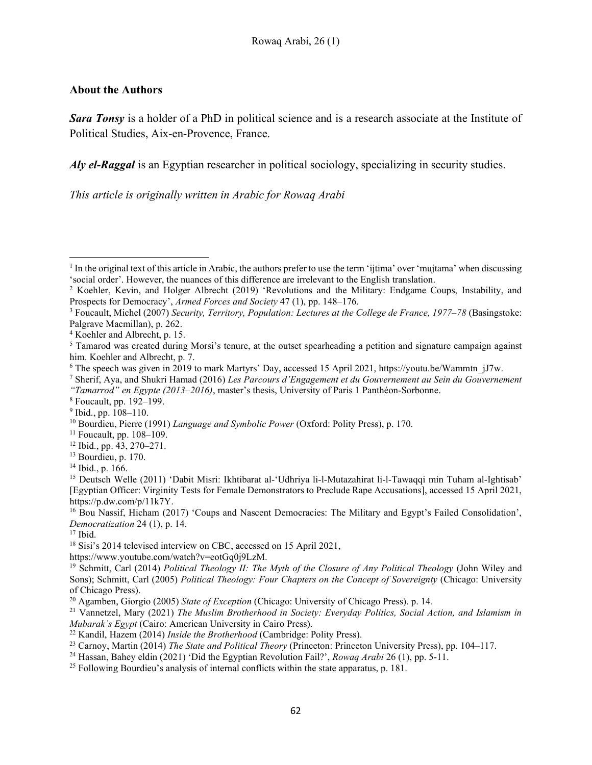# About the Authors

Sara Tonsy is a holder of a PhD in political science and is a research associate at the Institute of Political Studies, Aix-en-Provence, France.

Aly el-Raggal is an Egyptian researcher in political sociology, specializing in security studies.

This article is originally written in Arabic for Rowaq Arabi

<sup>17</sup> Ibid.

<sup>&</sup>lt;sup>1</sup> In the original text of this article in Arabic, the authors prefer to use the term 'ijtima' over 'mujtama' when discussing 'social order'. However, the nuances of this difference are irrelevant to the English translation.

<sup>&</sup>lt;sup>2</sup> Koehler, Kevin, and Holger Albrecht (2019) 'Revolutions and the Military: Endgame Coups, Instability, and Prospects for Democracy', Armed Forces and Society 47 (1), pp. 148–176.

<sup>&</sup>lt;sup>3</sup> Foucault, Michel (2007) Security, Territory, Population: Lectures at the College de France, 1977–78 (Basingstoke: Palgrave Macmillan), p. 262.

<sup>4</sup> Koehler and Albrecht, p. 15.

<sup>&</sup>lt;sup>5</sup> Tamarod was created during Morsi's tenure, at the outset spearheading a petition and signature campaign against him. Koehler and Albrecht, p. 7.

<sup>&</sup>lt;sup>6</sup> The speech was given in 2019 to mark Martyrs' Day, accessed 15 April 2021, https://youtu.be/Wammtn\_jJ7w.

<sup>&</sup>lt;sup>7</sup> Sherif, Aya, and Shukri Hamad (2016) Les Parcours d'Engagement et du Gouvernement au Sein du Gouvernement "Tamarrod" en Egypte (2013–2016), master's thesis, University of Paris 1 Panthéon-Sorbonne.

<sup>8</sup> Foucault, pp. 192–199.

<sup>9</sup> Ibid., pp. 108–110.

<sup>&</sup>lt;sup>10</sup> Bourdieu, Pierre (1991) Language and Symbolic Power (Oxford: Polity Press), p. 170.

 $11$  Foucault, pp. 108–109.

<sup>12</sup> Ibid., pp. 43, 270–271.

<sup>&</sup>lt;sup>13</sup> Bourdieu, p. 170.

<sup>14</sup> Ibid., p. 166.

<sup>&</sup>lt;sup>15</sup> Deutsch Welle (2011) 'Dabit Misri: Ikhtibarat al-'Udhriya li-l-Mutazahirat li-l-Tawaqqi min Tuham al-Ightisab' [Egyptian Officer: Virginity Tests for Female Demonstrators to Preclude Rape Accusations], accessed 15 April 2021, https://p.dw.com/p/11k7Y.

<sup>16</sup> Bou Nassif, Hicham (2017) 'Coups and Nascent Democracies: The Military and Egypt's Failed Consolidation', Democratization 24 (1), p. 14.

<sup>&</sup>lt;sup>18</sup> Sisi's 2014 televised interview on CBC, accessed on 15 April 2021,

https://www.youtube.com/watch?v=eotGq0j9LzM.

<sup>&</sup>lt;sup>19</sup> Schmitt, Carl (2014) Political Theology II: The Myth of the Closure of Any Political Theology (John Wiley and Sons); Schmitt, Carl (2005) Political Theology: Four Chapters on the Concept of Sovereignty (Chicago: University of Chicago Press).

<sup>&</sup>lt;sup>20</sup> Agamben, Giorgio (2005) State of Exception (Chicago: University of Chicago Press). p. 14.

<sup>&</sup>lt;sup>21</sup> Vannetzel, Mary (2021) The Muslim Brotherhood in Society: Everyday Politics, Social Action, and Islamism in Mubarak's Egypt (Cairo: American University in Cairo Press).

 $^{22}$  Kandil, Hazem (2014) *Inside the Brotherhood* (Cambridge: Polity Press).

<sup>&</sup>lt;sup>23</sup> Carnoy, Martin (2014) *The State and Political Theory* (Princeton: Princeton University Press), pp. 104–117.

<sup>&</sup>lt;sup>24</sup> Hassan, Bahey eldin (2021) 'Did the Egyptian Revolution Fail?', *Rowag Arabi* 26 (1), pp. 5-11.

<sup>&</sup>lt;sup>25</sup> Following Bourdieu's analysis of internal conflicts within the state apparatus, p. 181.